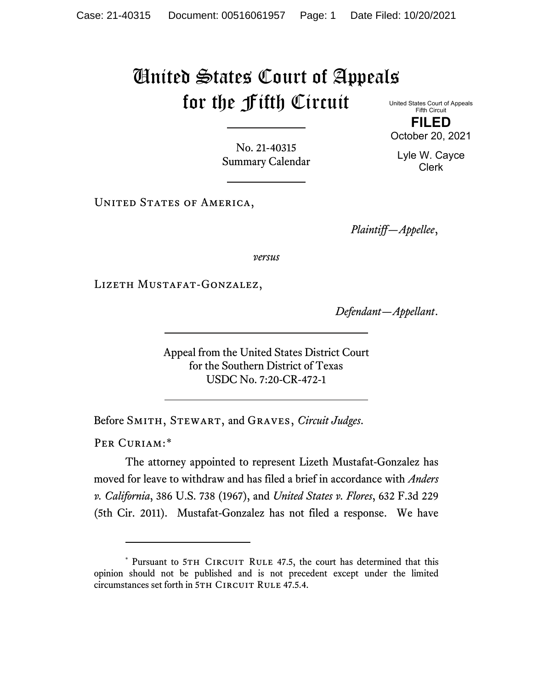## United States Court of Appeals for the Fifth Circuit

United States Court of Appeals Fifth Circuit **FILED** October 20, 2021

No. 21-40315 Summary Calendar

UNITED STATES OF AMERICA,

*Plaintiff—Appellee*,

*versus*

Lizeth Mustafat-Gonzalez,

*Defendant—Appellant*.

Appeal from the United States District Court for the Southern District of Texas USDC No. 7:20-CR-472-1

Before Smith, Stewart, and Graves, *Circuit Judges*.

PER CURIAM:[\\*](#page-0-0)

The attorney appointed to represent Lizeth Mustafat-Gonzalez has moved for leave to withdraw and has filed a brief in accordance with *Anders v. California*, 386 U.S. 738 (1967), and *United States v. Flores*, 632 F.3d 229 (5th Cir. 2011). Mustafat-Gonzalez has not filed a response. We have

Lyle W. Cayce

Clerk

<span id="page-0-0"></span><sup>\*</sup> Pursuant to 5TH CIRCUIT RULE 47.5, the court has determined that this opinion should not be published and is not precedent except under the limited circumstances set forth in 5TH CIRCUIT RULE 47.5.4.